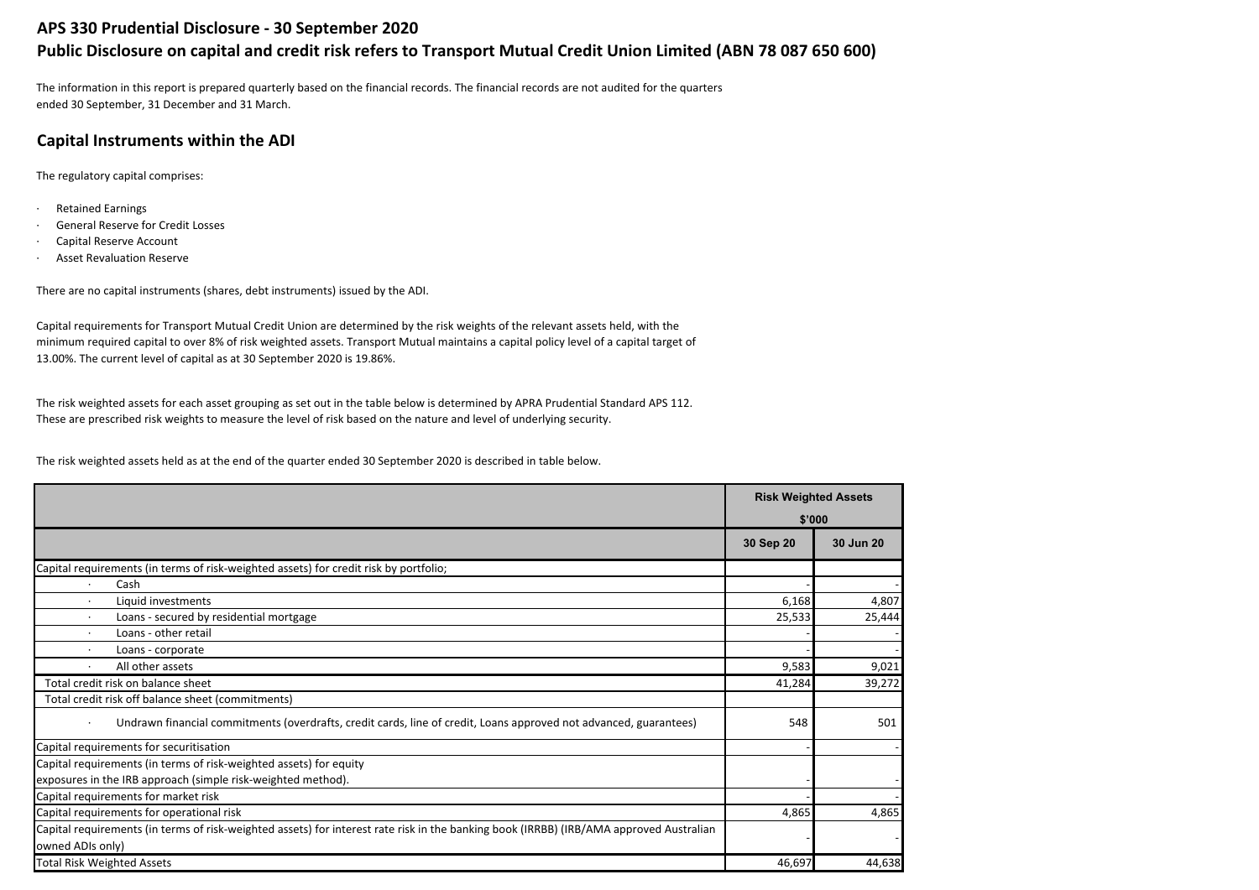## **APS 330 Prudential Disclosure - 30 September 2020**

## **Public Disclosure on capital and credit risk refers to Transport Mutual Credit Union Limited (ABN 78 087 650 600)**

The information in this report is prepared quarterly based on the financial records. The financial records are not audited for the quarters ended 30 September, 31 December and 31 March.

## **Capital Instruments within the ADI**

The regulatory capital comprises:

- · Retained Earnings
- General Reserve for Credit Losses
- Capital Reserve Account
- **Asset Revaluation Reserve**

There are no capital instruments (shares, debt instruments) issued by the ADI.

Capital requirements for Transport Mutual Credit Union are determined by the risk weights of the relevant assets held, with the minimum required capital to over 8% of risk weighted assets. Transport Mutual maintains a capital policy level of a capital target of 13.00%. The current level of capital as at 30 September 2020 is 19.86%.

The risk weighted assets for each asset grouping as set out in the table below is determined by APRA Prudential Standard APS 112. These are prescribed risk weights to measure the level of risk based on the nature and level of underlying security.

The risk weighted assets held as at the end of the quarter ended 30 September 2020 is described in table below.

|                                                                                                                                         |           | <b>Risk Weighted Assets</b> |
|-----------------------------------------------------------------------------------------------------------------------------------------|-----------|-----------------------------|
|                                                                                                                                         |           | \$'000                      |
|                                                                                                                                         | 30 Sep 20 | 30 Jun 20                   |
| Capital requirements (in terms of risk-weighted assets) for credit risk by portfolio;                                                   |           |                             |
| Cash                                                                                                                                    |           |                             |
| Liquid investments<br>$\cdot$                                                                                                           | 6,168     | 4,807                       |
| Loans - secured by residential mortgage                                                                                                 | 25,533    | 25,444                      |
| Loans - other retail                                                                                                                    |           |                             |
| Loans - corporate<br>$\cdot$                                                                                                            |           |                             |
| All other assets                                                                                                                        | 9,583     | 9,021                       |
| Total credit risk on balance sheet                                                                                                      | 41,284    | 39,272                      |
| Total credit risk off balance sheet (commitments)                                                                                       |           |                             |
| Undrawn financial commitments (overdrafts, credit cards, line of credit, Loans approved not advanced, guarantees)                       | 548       | 501                         |
| Capital requirements for securitisation                                                                                                 |           |                             |
| Capital requirements (in terms of risk-weighted assets) for equity                                                                      |           |                             |
| exposures in the IRB approach (simple risk-weighted method).                                                                            |           |                             |
| Capital requirements for market risk                                                                                                    |           |                             |
| Capital requirements for operational risk                                                                                               | 4,865     | 4,865                       |
| Capital requirements (in terms of risk-weighted assets) for interest rate risk in the banking book (IRRBB) (IRB/AMA approved Australian |           |                             |
| owned ADIs only)                                                                                                                        |           |                             |
| <b>Total Risk Weighted Assets</b>                                                                                                       | 46.697    | 44,638                      |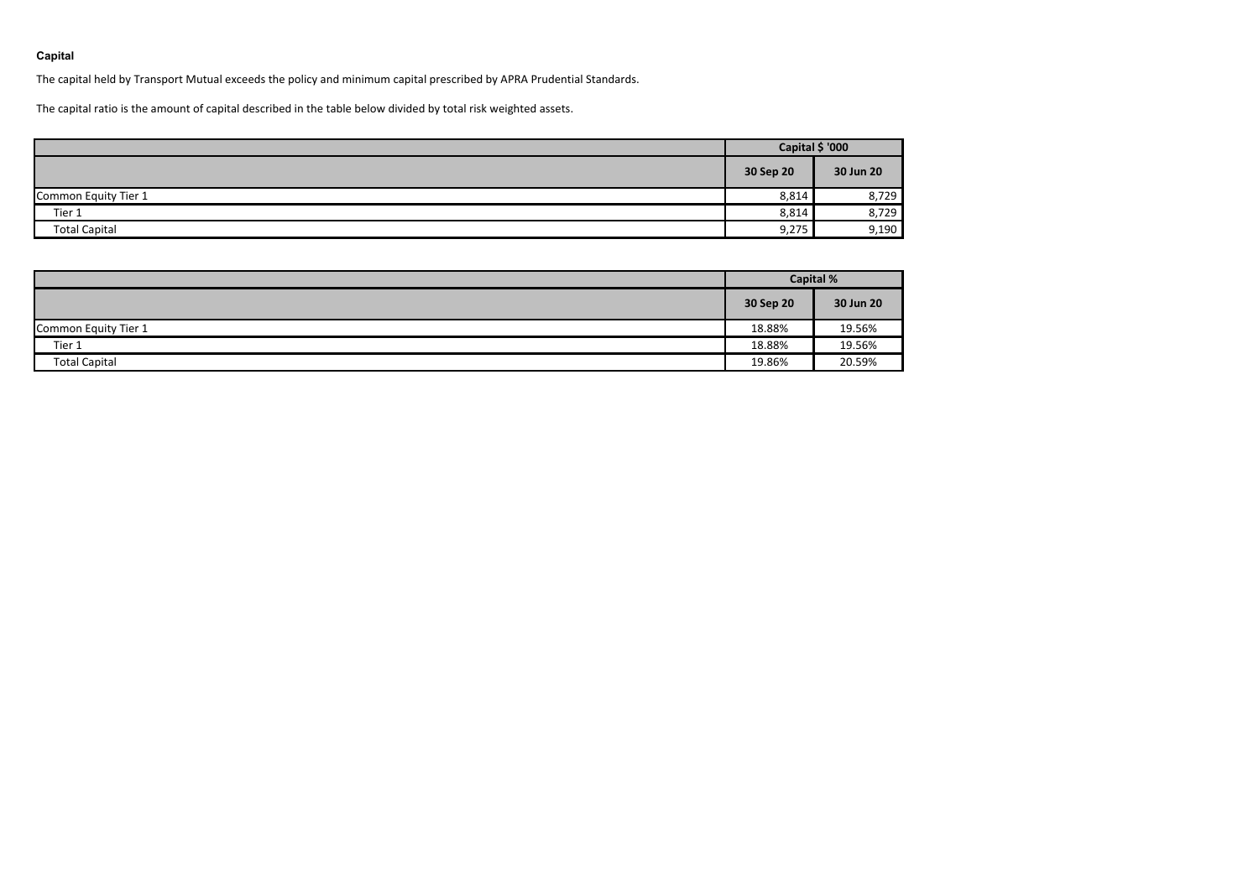## **Capital**

The capital held by Transport Mutual exceeds the policy and minimum capital prescribed by APRA Prudential Standards.

The capital ratio is the amount of capital described in the table below divided by total risk weighted assets.

|                      | Capital \$ '000 |           |  |
|----------------------|-----------------|-----------|--|
|                      | 30 Sep 20       | 30 Jun 20 |  |
| Common Equity Tier 1 | 8,814           | 8,729     |  |
| Tier 1               | 8,814           | 8,729     |  |
| <b>Total Capital</b> | 9,275           | 9,190     |  |

|                      | <b>Capital %</b> |           |  |
|----------------------|------------------|-----------|--|
|                      | 30 Sep 20        | 30 Jun 20 |  |
| Common Equity Tier 1 | 18.88%           | 19.56%    |  |
| Tier 1               | 18.88%           | 19.56%    |  |
| <b>Total Capital</b> | 19.86%           | 20.59%    |  |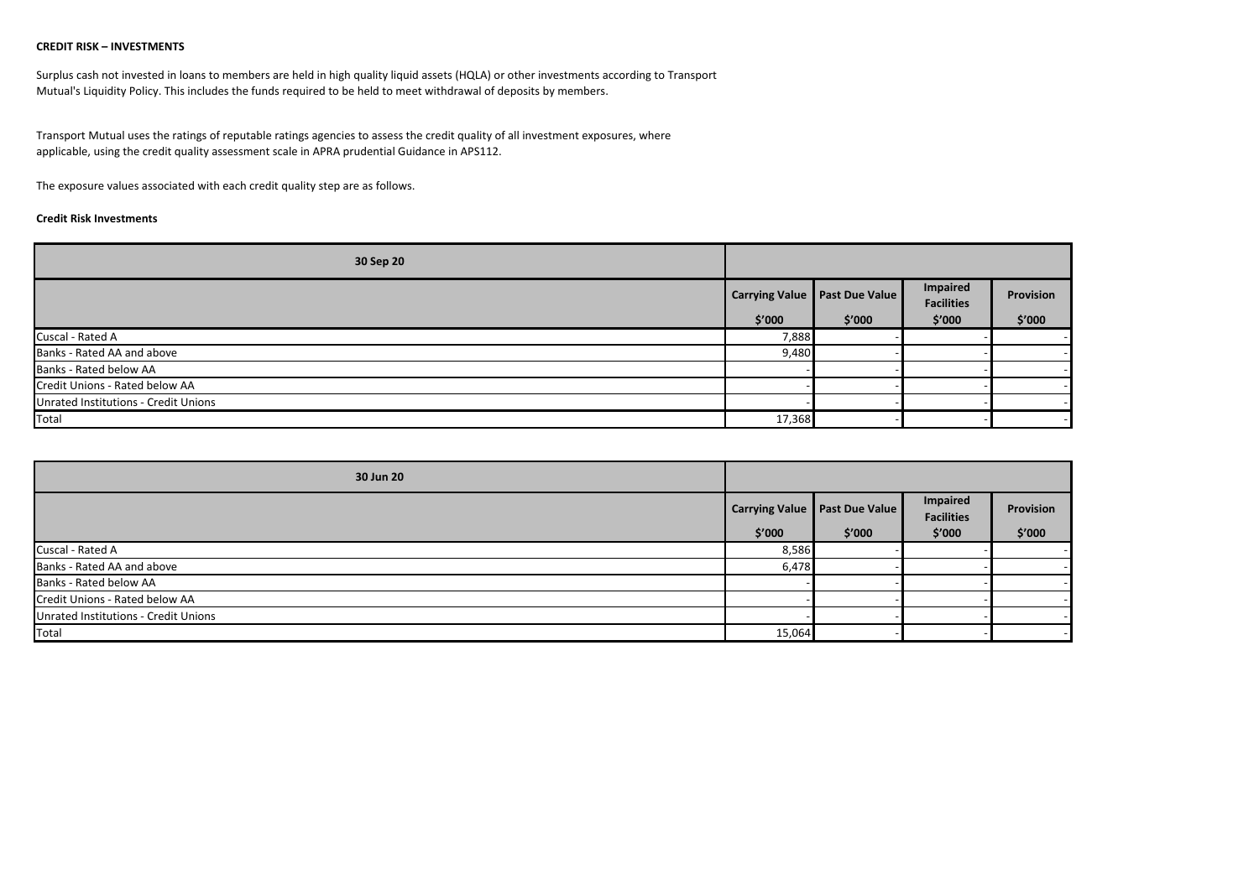### **CREDIT RISK – INVESTMENTS**

Surplus cash not invested in loans to members are held in high quality liquid assets (HQLA) or other investments according to Transport Mutual's Liquidity Policy. This includes the funds required to be held to meet withdrawal of deposits by members.

Transport Mutual uses the ratings of reputable ratings agencies to assess the credit quality of all investment exposures, where applicable, using the credit quality assessment scale in APRA prudential Guidance in APS112.

The exposure values associated with each credit quality step are as follows.

## **Credit Risk Investments**

| 30 Sep 20                            |        |                                             |                                         |                     |
|--------------------------------------|--------|---------------------------------------------|-----------------------------------------|---------------------|
|                                      | \$′000 | Carrying Value   Past Due Value  <br>\$′000 | Impaired<br><b>Facilities</b><br>\$′000 | Provision<br>\$′000 |
| Cuscal - Rated A                     | 7,888  |                                             |                                         |                     |
| Banks - Rated AA and above           | 9,480  |                                             |                                         |                     |
| Banks - Rated below AA               |        |                                             |                                         |                     |
| Credit Unions - Rated below AA       |        |                                             |                                         |                     |
| Unrated Institutions - Credit Unions |        |                                             |                                         |                     |
| Total                                | 17,368 |                                             |                                         |                     |

| 30 Jun 20                            |        |                                 |                               |           |  |
|--------------------------------------|--------|---------------------------------|-------------------------------|-----------|--|
|                                      |        | Carrying Value   Past Due Value | Impaired<br><b>Facilities</b> | Provision |  |
|                                      | \$′000 | \$'000                          | \$′000                        | \$′000    |  |
| Cuscal - Rated A                     | 8,586  |                                 |                               |           |  |
| Banks - Rated AA and above           | 6,478  |                                 |                               |           |  |
| Banks - Rated below AA               |        |                                 |                               |           |  |
| Credit Unions - Rated below AA       |        |                                 |                               |           |  |
| Unrated Institutions - Credit Unions |        |                                 |                               |           |  |
| Total                                | 15,064 |                                 |                               |           |  |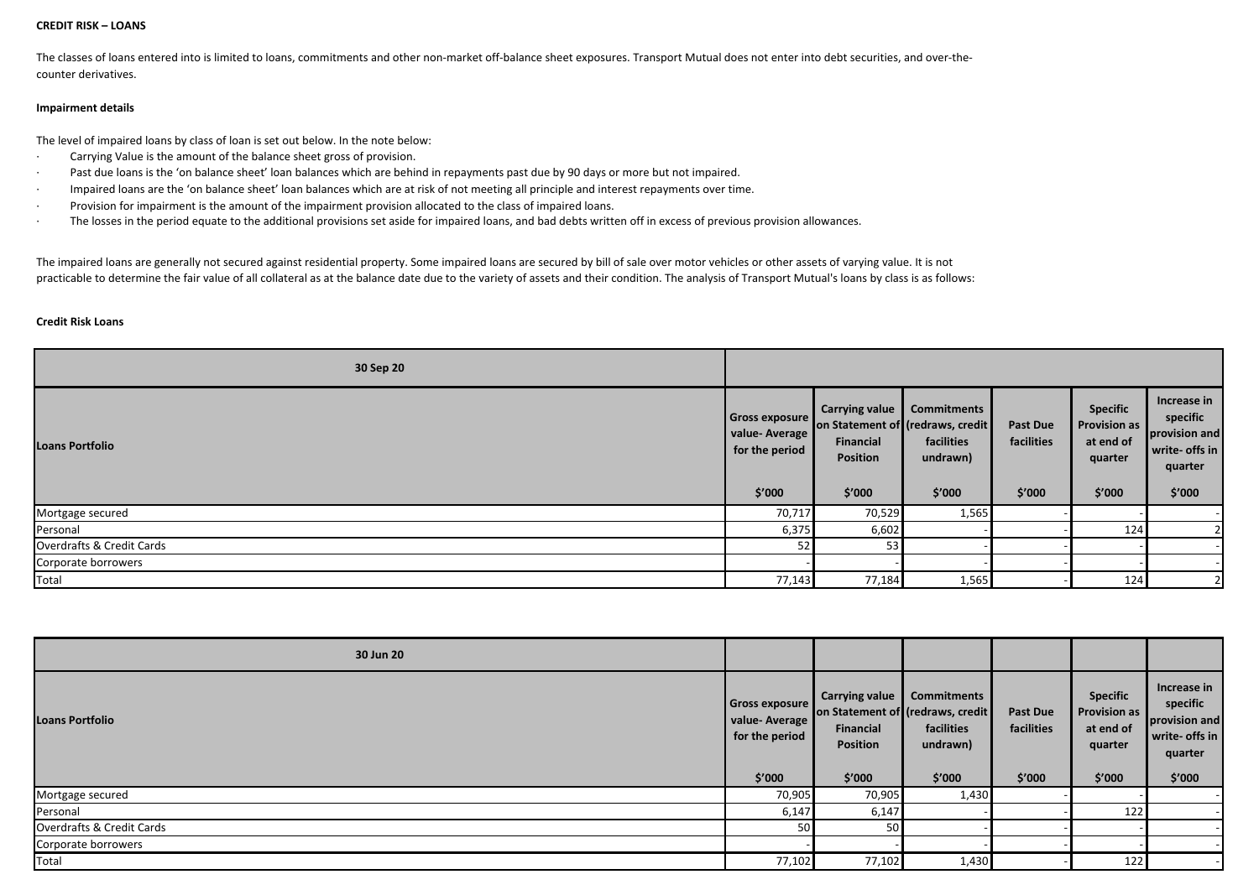#### **CREDIT RISK – LOANS**

The classes of loans entered into is limited to loans, commitments and other non-market off-balance sheet exposures. Transport Mutual does not enter into debt securities, and over-thecounter derivatives.

### **Impairment details**

The level of impaired loans by class of loan is set out below. In the note below:

- · Carrying Value is the amount of the balance sheet gross of provision.
- Past due loans is the 'on balance sheet' loan balances which are behind in repayments past due by 90 days or more but not impaired.
- · Impaired loans are the 'on balance sheet' loan balances which are at risk of not meeting all principle and interest repayments over time.
- · Provision for impairment is the amount of the impairment provision allocated to the class of impaired loans.
- · The losses in the period equate to the additional provisions set aside for impaired loans, and bad debts written off in excess of previous provision allowances.

The impaired loans are generally not secured against residential property. Some impaired loans are secured by bill of sale over motor vehicles or other assets of varying value. It is not practicable to determine the fair value of all collateral as at the balance date due to the variety of assets and their condition. The analysis of Transport Mutual's loans by class is as follows:

### **Credit Risk Loans**

| 30 Sep 20                 |                                                               |                                                                 |                                                                                             |                                         |                                                                          |                                                                                 |
|---------------------------|---------------------------------------------------------------|-----------------------------------------------------------------|---------------------------------------------------------------------------------------------|-----------------------------------------|--------------------------------------------------------------------------|---------------------------------------------------------------------------------|
| <b>Loans Portfolio</b>    | Gross exposure<br>value-Average /<br>for the period<br>\$′000 | Carrying value<br><b>Financial</b><br><b>Position</b><br>\$′000 | <b>Commitments</b><br>on Statement of (redraws, credit)<br>facilities<br>undrawn)<br>\$'000 | <b>Past Due</b><br>facilities<br>\$′000 | <b>Specific</b><br><b>Provision as</b><br>at end of<br>quarter<br>\$'000 | Increase in<br>specific<br>provision and<br>write- offs in<br>quarter<br>\$'000 |
| Mortgage secured          | 70,717                                                        | 70,529                                                          | 1,565                                                                                       |                                         |                                                                          |                                                                                 |
| Personal                  | 6,375                                                         | 6,602                                                           |                                                                                             |                                         | 124                                                                      |                                                                                 |
| Overdrafts & Credit Cards | 52                                                            | 53                                                              |                                                                                             |                                         |                                                                          |                                                                                 |
| Corporate borrowers       |                                                               |                                                                 |                                                                                             |                                         |                                                                          |                                                                                 |
| Total                     | 77,143                                                        | 77,184                                                          | 1,565                                                                                       |                                         | 124                                                                      |                                                                                 |

| 30 Jun 20                 |                                                             |                                                   |                                                                                            |                                         |                                                                          |                                                                                 |
|---------------------------|-------------------------------------------------------------|---------------------------------------------------|--------------------------------------------------------------------------------------------|-----------------------------------------|--------------------------------------------------------------------------|---------------------------------------------------------------------------------|
| <b>Loans Portfolio</b>    | Gross exposure<br>value-Average<br>for the period<br>\$′000 | Carrying value<br>Financial<br>Position<br>\$′000 | <b>Commitments</b><br>on Statement of (redraws, credit<br>facilities<br>undrawn)<br>\$′000 | <b>Past Due</b><br>facilities<br>\$′000 | <b>Specific</b><br><b>Provision as</b><br>at end of<br>quarter<br>\$′000 | Increase in<br>specific<br>provision and<br>write- offs in<br>quarter<br>\$′000 |
| Mortgage secured          | 70,905                                                      | 70,905                                            | 1,430                                                                                      |                                         |                                                                          |                                                                                 |
| Personal                  | 6,147                                                       | 6,147                                             |                                                                                            |                                         | 122                                                                      |                                                                                 |
| Overdrafts & Credit Cards | 50                                                          | 50                                                |                                                                                            |                                         |                                                                          |                                                                                 |
| Corporate borrowers       |                                                             |                                                   |                                                                                            |                                         |                                                                          |                                                                                 |
| Total                     | 77,102                                                      | 77,102                                            | 1,430                                                                                      |                                         | 122                                                                      |                                                                                 |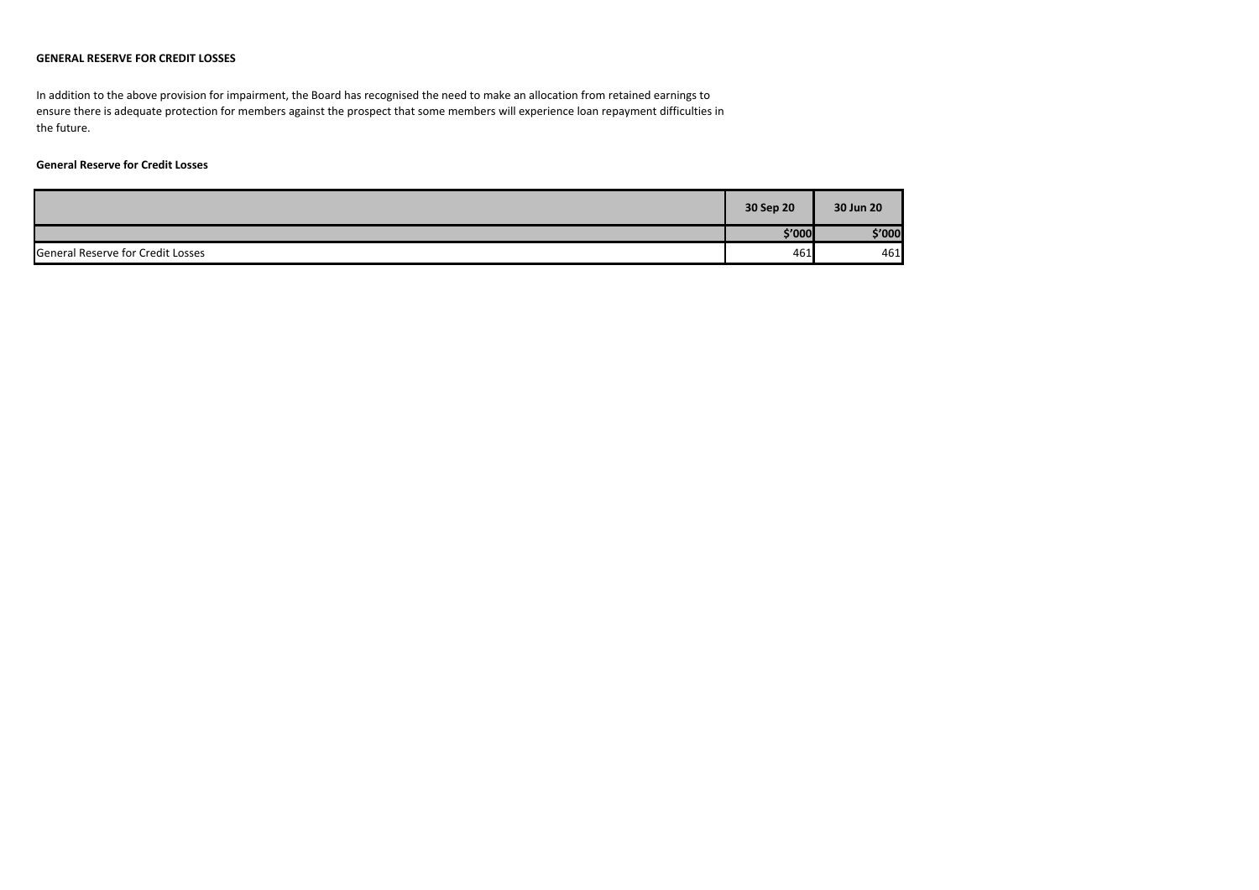## **GENERAL RESERVE FOR CREDIT LOSSES**

In addition to the above provision for impairment, the Board has recognised the need to make an allocation from retained earnings to ensure there is adequate protection for members against the prospect that some members will experience loan repayment difficulties in the future.

## **General Reserve for Credit Losses**

|                                          | 30 Sep 20 | 30 Jun 20 |
|------------------------------------------|-----------|-----------|
|                                          | \$'000    | \$'000    |
| <b>General Reserve for Credit Losses</b> | 461       | 461       |